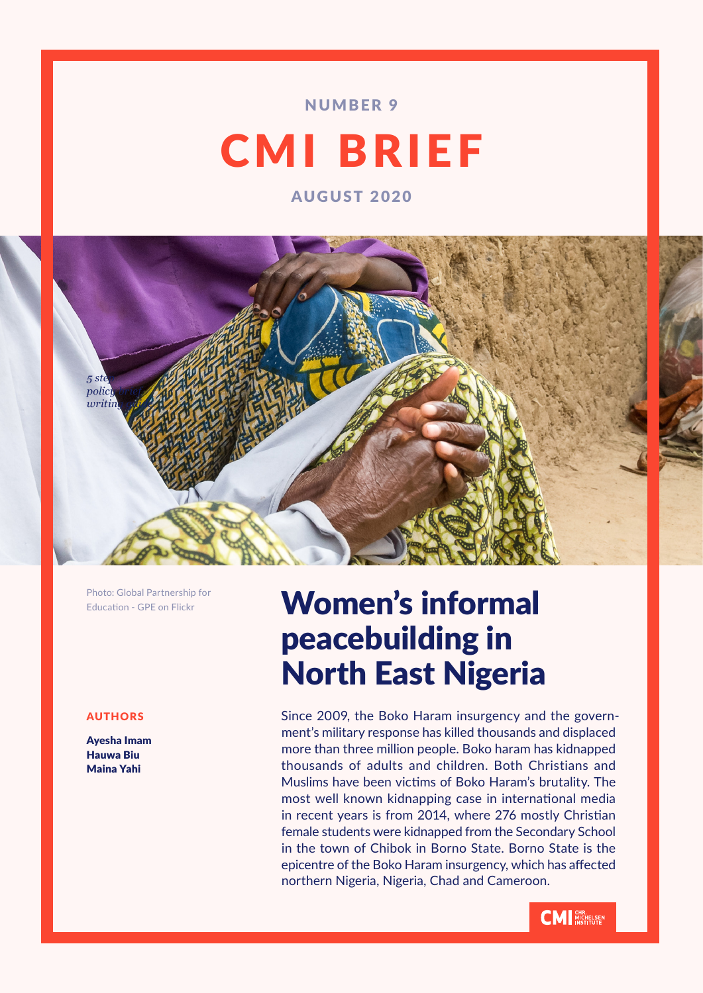# NUMBER 9

# CMI BRIEF

AUGUST 2020



Photo: Global Partnership for Education - GPE on Flickr

# AUTHORS

Ayesha Imam Hauwa Biu Maina Yahi

# Women's informal peacebuilding in North East Nigeria

Since 2009, the Boko Haram insurgency and the government's military response has killed thousands and displaced more than three million people. Boko haram has kidnapped thousands of adults and children. Both Christians and Muslims have been victims of Boko Haram's brutality. The most well known kidnapping case in international media in recent years is from 2014, where 276 mostly Christian female students were kidnapped from the Secondary School in the town of Chibok in Borno State. Borno State is the epicentre of the Boko Haram insurgency, which has affected northern Nigeria, Nigeria, Chad and Cameroon.

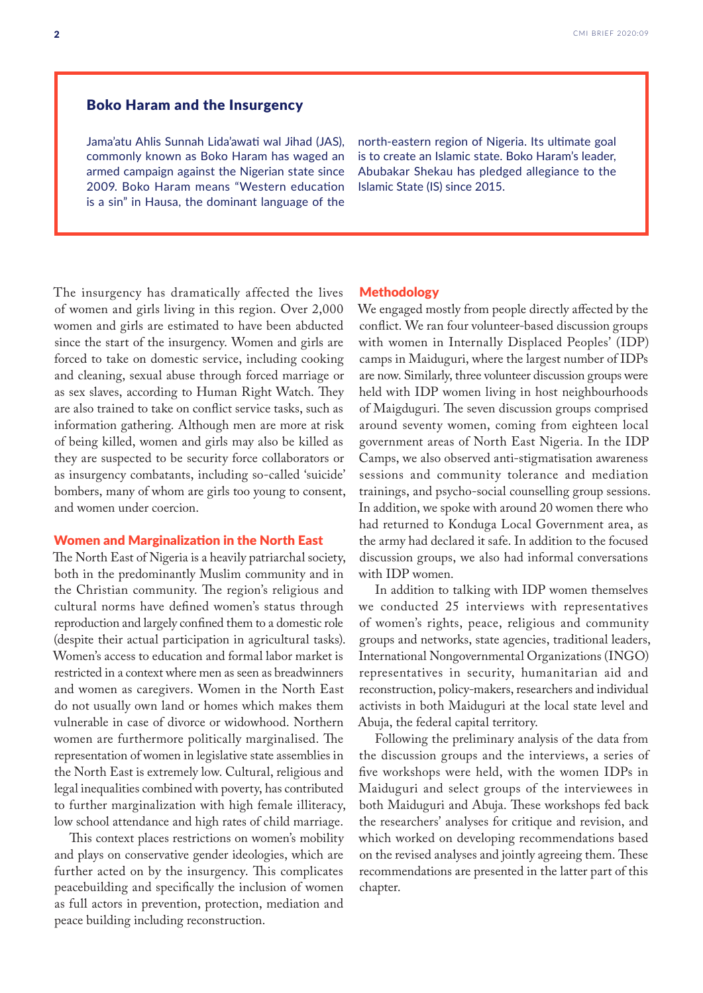# Boko Haram and the Insurgency

Jama'atu Ahlis Sunnah Lida'awati wal Jihad (JAS), commonly known as Boko Haram has waged an armed campaign against the Nigerian state since 2009. Boko Haram means "Western education is a sin" in Hausa, the dominant language of the

north-eastern region of Nigeria. Its ultimate goal is to create an Islamic state. Boko Haram's leader, Abubakar Shekau has pledged allegiance to the Islamic State (IS) since 2015.

The insurgency has dramatically affected the lives of women and girls living in this region. Over 2,000 women and girls are estimated to have been abducted since the start of the insurgency. Women and girls are forced to take on domestic service, including cooking and cleaning, sexual abuse through forced marriage or as sex slaves, according to Human Right Watch. They are also trained to take on conflict service tasks, such as information gathering. Although men are more at risk of being killed, women and girls may also be killed as they are suspected to be security force collaborators or as insurgency combatants, including so-called 'suicide' bombers, many of whom are girls too young to consent, and women under coercion.

### Women and Marginalization in the North East

The North East of Nigeria is a heavily patriarchal society, both in the predominantly Muslim community and in the Christian community. The region's religious and cultural norms have defined women's status through reproduction and largely confined them to a domestic role (despite their actual participation in agricultural tasks). Women's access to education and formal labor market is restricted in a context where men as seen as breadwinners and women as caregivers. Women in the North East do not usually own land or homes which makes them vulnerable in case of divorce or widowhood. Northern women are furthermore politically marginalised. The representation of women in legislative state assemblies in the North East is extremely low. Cultural, religious and legal inequalities combined with poverty, has contributed to further marginalization with high female illiteracy, low school attendance and high rates of child marriage.

This context places restrictions on women's mobility and plays on conservative gender ideologies, which are further acted on by the insurgency. This complicates peacebuilding and specifically the inclusion of women as full actors in prevention, protection, mediation and peace building including reconstruction.

#### Methodology

We engaged mostly from people directly affected by the conflict. We ran four volunteer-based discussion groups with women in Internally Displaced Peoples' (IDP) camps in Maiduguri, where the largest number of IDPs are now. Similarly, three volunteer discussion groups were held with IDP women living in host neighbourhoods of Maigduguri. The seven discussion groups comprised around seventy women, coming from eighteen local government areas of North East Nigeria. In the IDP Camps, we also observed anti-stigmatisation awareness sessions and community tolerance and mediation trainings, and psycho-social counselling group sessions. In addition, we spoke with around 20 women there who had returned to Konduga Local Government area, as the army had declared it safe. In addition to the focused discussion groups, we also had informal conversations with IDP women.

In addition to talking with IDP women themselves we conducted 25 interviews with representatives of women's rights, peace, religious and community groups and networks, state agencies, traditional leaders, International Nongovernmental Organizations (INGO) representatives in security, humanitarian aid and reconstruction, policy-makers, researchers and individual activists in both Maiduguri at the local state level and Abuja, the federal capital territory.

Following the preliminary analysis of the data from the discussion groups and the interviews, a series of five workshops were held, with the women IDPs in Maiduguri and select groups of the interviewees in both Maiduguri and Abuja. These workshops fed back the researchers' analyses for critique and revision, and which worked on developing recommendations based on the revised analyses and jointly agreeing them. These recommendations are presented in the latter part of this chapter.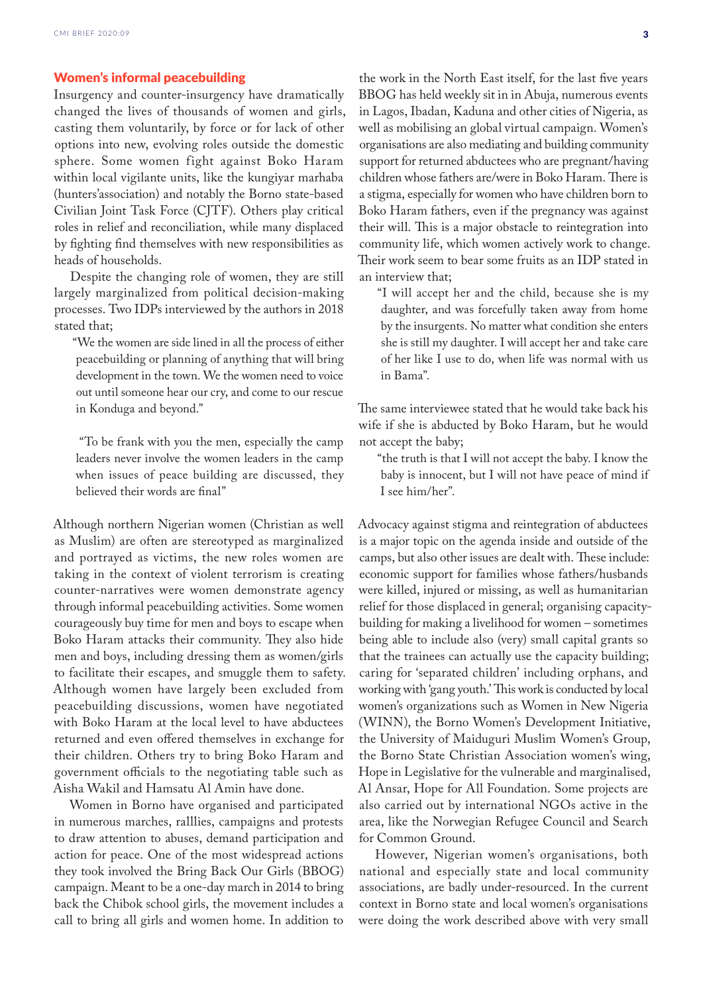## Women's informal peacebuilding

Insurgency and counter-insurgency have dramatically changed the lives of thousands of women and girls, casting them voluntarily, by force or for lack of other options into new, evolving roles outside the domestic sphere. Some women fight against Boko Haram within local vigilante units, like the kungiyar marhaba (hunters'association) and notably the Borno state-based Civilian Joint Task Force (CJTF). Others play critical roles in relief and reconciliation, while many displaced by fighting find themselves with new responsibilities as heads of households.

Despite the changing role of women, they are still largely marginalized from political decision-making processes. Two IDPs interviewed by the authors in 2018 stated that;

"We the women are side lined in all the process of either peacebuilding or planning of anything that will bring development in the town. We the women need to voice out until someone hear our cry, and come to our rescue in Konduga and beyond."

 "To be frank with you the men, especially the camp leaders never involve the women leaders in the camp when issues of peace building are discussed, they believed their words are final"

Although northern Nigerian women (Christian as well as Muslim) are often are stereotyped as marginalized and portrayed as victims, the new roles women are taking in the context of violent terrorism is creating counter-narratives were women demonstrate agency through informal peacebuilding activities. Some women courageously buy time for men and boys to escape when Boko Haram attacks their community. They also hide men and boys, including dressing them as women/girls to facilitate their escapes, and smuggle them to safety. Although women have largely been excluded from peacebuilding discussions, women have negotiated with Boko Haram at the local level to have abductees returned and even offered themselves in exchange for their children. Others try to bring Boko Haram and government officials to the negotiating table such as Aisha Wakil and Hamsatu Al Amin have done.

Women in Borno have organised and participated in numerous marches, ralllies, campaigns and protests to draw attention to abuses, demand participation and action for peace. One of the most widespread actions they took involved the Bring Back Our Girls (BBOG) campaign. Meant to be a one-day march in 2014 to bring back the Chibok school girls, the movement includes a call to bring all girls and women home. In addition to

the work in the North East itself, for the last five years BBOG has held weekly sit in in Abuja, numerous events in Lagos, Ibadan, Kaduna and other cities of Nigeria, as well as mobilising an global virtual campaign. Women's organisations are also mediating and building community support for returned abductees who are pregnant/having children whose fathers are/were in Boko Haram. There is a stigma, especially for women who have children born to Boko Haram fathers, even if the pregnancy was against their will. This is a major obstacle to reintegration into community life, which women actively work to change. Their work seem to bear some fruits as an IDP stated in an interview that;

"I will accept her and the child, because she is my daughter, and was forcefully taken away from home by the insurgents. No matter what condition she enters she is still my daughter. I will accept her and take care of her like I use to do, when life was normal with us in Bama".

The same interviewee stated that he would take back his wife if she is abducted by Boko Haram, but he would not accept the baby;

"the truth is that I will not accept the baby. I know the baby is innocent, but I will not have peace of mind if I see him/her".

Advocacy against stigma and reintegration of abductees is a major topic on the agenda inside and outside of the camps, but also other issues are dealt with. These include: economic support for families whose fathers/husbands were killed, injured or missing, as well as humanitarian relief for those displaced in general; organising capacitybuilding for making a livelihood for women – sometimes being able to include also (very) small capital grants so that the trainees can actually use the capacity building; caring for 'separated children' including orphans, and working with 'gang youth.' This work is conducted by local women's organizations such as Women in New Nigeria (WINN), the Borno Women's Development Initiative, the University of Maiduguri Muslim Women's Group, the Borno State Christian Association women's wing, Hope in Legislative for the vulnerable and marginalised, Al Ansar, Hope for All Foundation. Some projects are also carried out by international NGOs active in the area, like the Norwegian Refugee Council and Search for Common Ground.

However, Nigerian women's organisations, both national and especially state and local community associations, are badly under-resourced. In the current context in Borno state and local women's organisations were doing the work described above with very small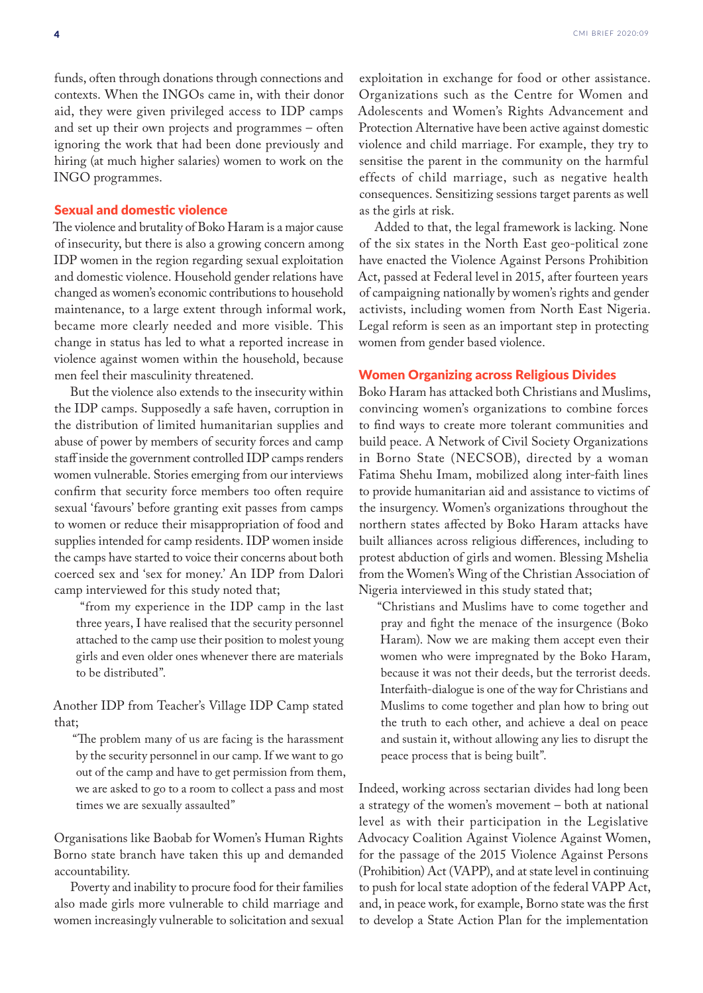funds, often through donations through connections and contexts. When the INGOs came in, with their donor aid, they were given privileged access to IDP camps and set up their own projects and programmes – often ignoring the work that had been done previously and hiring (at much higher salaries) women to work on the INGO programmes.

#### Sexual and domestic violence

The violence and brutality of Boko Haram is a major cause of insecurity, but there is also a growing concern among IDP women in the region regarding sexual exploitation and domestic violence. Household gender relations have changed as women's economic contributions to household maintenance, to a large extent through informal work, became more clearly needed and more visible. This change in status has led to what a reported increase in violence against women within the household, because men feel their masculinity threatened.

But the violence also extends to the insecurity within the IDP camps. Supposedly a safe haven, corruption in the distribution of limited humanitarian supplies and abuse of power by members of security forces and camp staff inside the government controlled IDP camps renders women vulnerable. Stories emerging from our interviews confirm that security force members too often require sexual 'favours' before granting exit passes from camps to women or reduce their misappropriation of food and supplies intended for camp residents. IDP women inside the camps have started to voice their concerns about both coerced sex and 'sex for money.' An IDP from Dalori camp interviewed for this study noted that;

 "from my experience in the IDP camp in the last three years, I have realised that the security personnel attached to the camp use their position to molest young girls and even older ones whenever there are materials to be distributed".

Another IDP from Teacher's Village IDP Camp stated that;

"The problem many of us are facing is the harassment by the security personnel in our camp. If we want to go out of the camp and have to get permission from them, we are asked to go to a room to collect a pass and most times we are sexually assaulted"

Organisations like Baobab for Women's Human Rights Borno state branch have taken this up and demanded accountability.

Poverty and inability to procure food for their families also made girls more vulnerable to child marriage and women increasingly vulnerable to solicitation and sexual exploitation in exchange for food or other assistance. Organizations such as the Centre for Women and Adolescents and Women's Rights Advancement and Protection Alternative have been active against domestic violence and child marriage. For example, they try to sensitise the parent in the community on the harmful effects of child marriage, such as negative health consequences. Sensitizing sessions target parents as well as the girls at risk.

Added to that, the legal framework is lacking. None of the six states in the North East geo-political zone have enacted the Violence Against Persons Prohibition Act, passed at Federal level in 2015, after fourteen years of campaigning nationally by women's rights and gender activists, including women from North East Nigeria. Legal reform is seen as an important step in protecting women from gender based violence.

#### Women Organizing across Religious Divides

Boko Haram has attacked both Christians and Muslims, convincing women's organizations to combine forces to find ways to create more tolerant communities and build peace. A Network of Civil Society Organizations in Borno State (NECSOB), directed by a woman Fatima Shehu Imam, mobilized along inter-faith lines to provide humanitarian aid and assistance to victims of the insurgency. Women's organizations throughout the northern states affected by Boko Haram attacks have built alliances across religious differences, including to protest abduction of girls and women. Blessing Mshelia from the Women's Wing of the Christian Association of Nigeria interviewed in this study stated that;

"Christians and Muslims have to come together and pray and fight the menace of the insurgence (Boko Haram). Now we are making them accept even their women who were impregnated by the Boko Haram, because it was not their deeds, but the terrorist deeds. Interfaith-dialogue is one of the way for Christians and Muslims to come together and plan how to bring out the truth to each other, and achieve a deal on peace and sustain it, without allowing any lies to disrupt the peace process that is being built".

Indeed, working across sectarian divides had long been a strategy of the women's movement – both at national level as with their participation in the Legislative Advocacy Coalition Against Violence Against Women, for the passage of the 2015 Violence Against Persons (Prohibition) Act (VAPP), and at state level in continuing to push for local state adoption of the federal VAPP Act, and, in peace work, for example, Borno state was the first to develop a State Action Plan for the implementation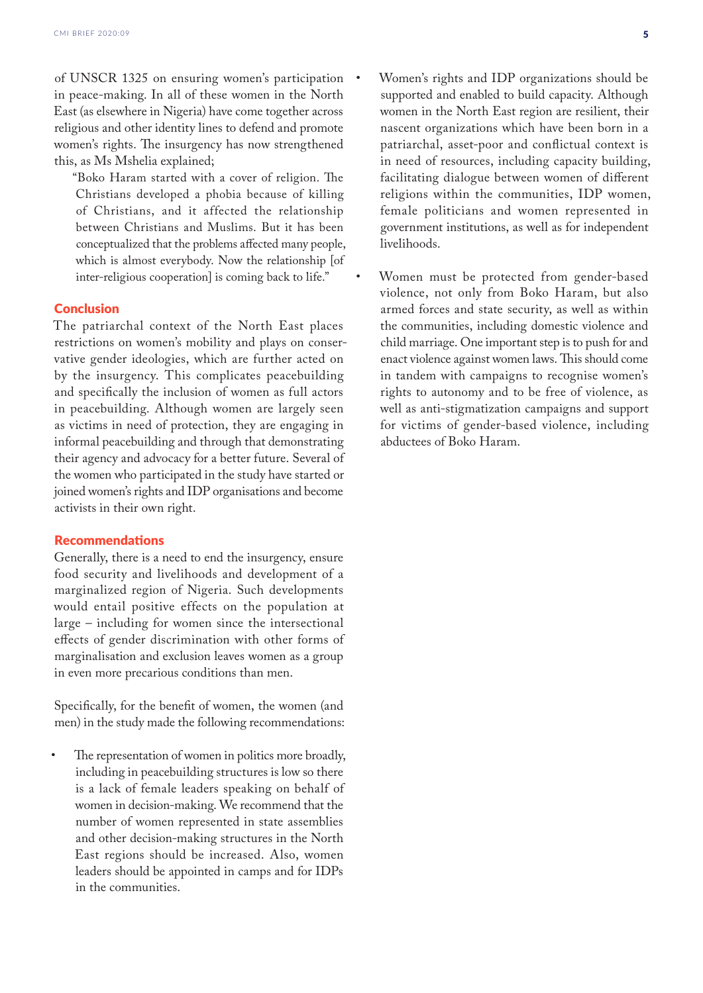of UNSCR 1325 on ensuring women's participation in peace-making. In all of these women in the North East (as elsewhere in Nigeria) have come together across religious and other identity lines to defend and promote women's rights. The insurgency has now strengthened this, as Ms Mshelia explained;

"Boko Haram started with a cover of religion. The Christians developed a phobia because of killing of Christians, and it affected the relationship between Christians and Muslims. But it has been conceptualized that the problems affected many people, which is almost everybody. Now the relationship [of inter-religious cooperation] is coming back to life."

## **Conclusion**

The patriarchal context of the North East places restrictions on women's mobility and plays on conservative gender ideologies, which are further acted on by the insurgency. This complicates peacebuilding and specifically the inclusion of women as full actors in peacebuilding. Although women are largely seen as victims in need of protection, they are engaging in informal peacebuilding and through that demonstrating their agency and advocacy for a better future. Several of the women who participated in the study have started or joined women's rights and IDP organisations and become activists in their own right.

### Recommendations

Generally, there is a need to end the insurgency, ensure food security and livelihoods and development of a marginalized region of Nigeria. Such developments would entail positive effects on the population at large – including for women since the intersectional effects of gender discrimination with other forms of marginalisation and exclusion leaves women as a group in even more precarious conditions than men.

Specifically, for the benefit of women, the women (and men) in the study made the following recommendations:

The representation of women in politics more broadly, including in peacebuilding structures is low so there is a lack of female leaders speaking on behalf of women in decision-making. We recommend that the number of women represented in state assemblies and other decision-making structures in the North East regions should be increased. Also, women leaders should be appointed in camps and for IDPs in the communities.

- Women's rights and IDP organizations should be supported and enabled to build capacity. Although women in the North East region are resilient, their nascent organizations which have been born in a patriarchal, asset-poor and conflictual context is in need of resources, including capacity building, facilitating dialogue between women of different religions within the communities, IDP women, female politicians and women represented in government institutions, as well as for independent livelihoods.
- Women must be protected from gender-based violence, not only from Boko Haram, but also armed forces and state security, as well as within the communities, including domestic violence and child marriage. One important step is to push for and enact violence against women laws. This should come in tandem with campaigns to recognise women's rights to autonomy and to be free of violence, as well as anti-stigmatization campaigns and support for victims of gender-based violence, including abductees of Boko Haram.